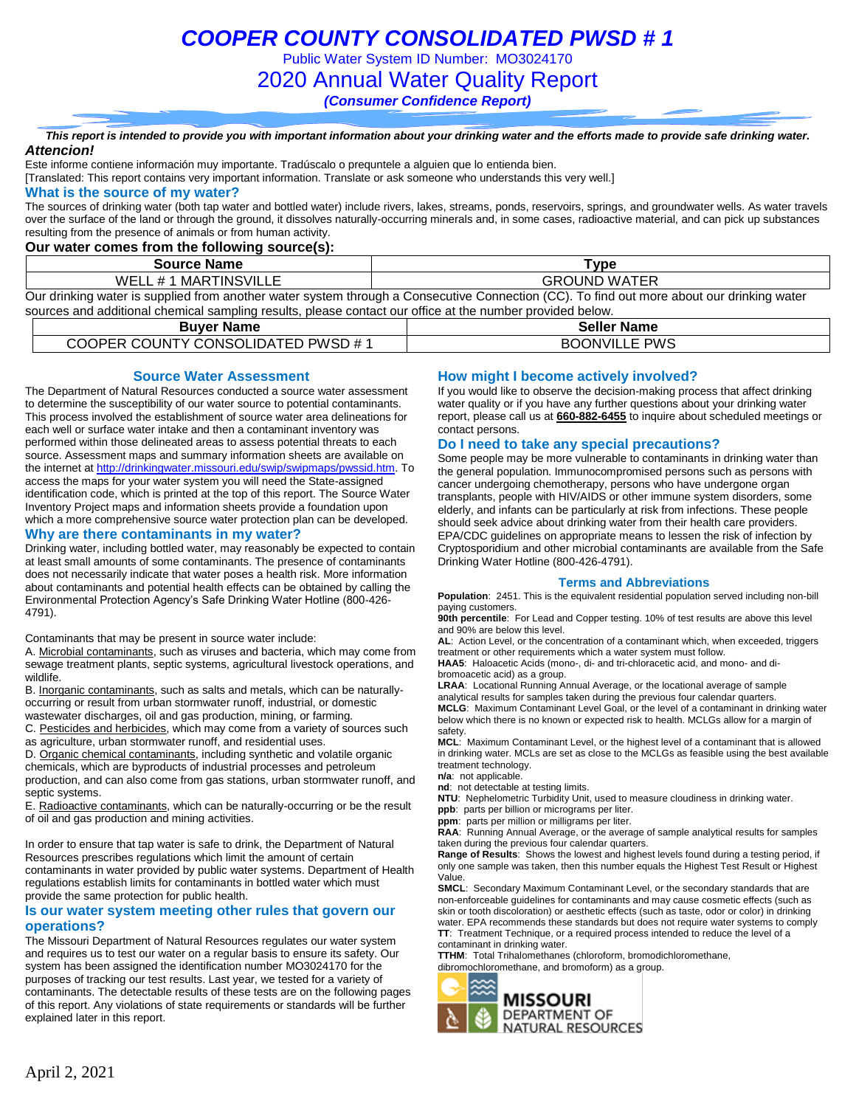Public Water System ID Number: MO3024170

### 2020 Annual Water Quality Report

*(Consumer Confidence Report)*

#### *This report is intended to provide you with important information about your drinking water and the efforts made to provide safe drinking water. Attencion!*

Este informe contiene información muy importante. Tradúscalo o prequntele a alguien que lo entienda bien.

[Translated: This report contains very important information. Translate or ask someone who understands this very well.]

#### **What is the source of my water?**

The sources of drinking water (both tap water and bottled water) include rivers, lakes, streams, ponds, reservoirs, springs, and groundwater wells. As water travels over the surface of the land or through the ground, it dissolves naturally-occurring minerals and, in some cases, radioactive material, and can pick up substances resulting from the presence of animals or from human activity.

### **Our water comes from the following source(s):**

| <b>Source Name</b>    | ™vpe                                                                                                                                      |
|-----------------------|-------------------------------------------------------------------------------------------------------------------------------------------|
| WELL # 1 MARTINSVILLE | <b>GROUND WATER</b>                                                                                                                       |
|                       | Our drinking water is supplied from another water system through a Consecutive Connection (CC). To find out more about our drinking water |

sources and additional chemical sampling results, please contact our office at the number provided below.

| Buver Name                         | <b>Seller Name</b>   |
|------------------------------------|----------------------|
| COOPER COUNTY CONSOLIDATED PWSD #1 | <b>BOONVILLE PWS</b> |

### **Source Water Assessment**

The Department of Natural Resources conducted a source water assessment to determine the susceptibility of our water source to potential contaminants. This process involved the establishment of source water area delineations for each well or surface water intake and then a contaminant inventory was performed within those delineated areas to assess potential threats to each source. Assessment maps and summary information sheets are available on the internet a[t http://drinkingwater.missouri.edu/swip/swipmaps/pwssid.htm.](http://drinkingwater.missouri.edu/swip/swipmaps/pwssid.htm) To access the maps for your water system you will need the State-assigned identification code, which is printed at the top of this report. The Source Water Inventory Project maps and information sheets provide a foundation upon which a more comprehensive source water protection plan can be developed.

#### **Why are there contaminants in my water?**

Drinking water, including bottled water, may reasonably be expected to contain at least small amounts of some contaminants. The presence of contaminants does not necessarily indicate that water poses a health risk. More information about contaminants and potential health effects can be obtained by calling the Environmental Protection Agency's Safe Drinking Water Hotline (800-426- 4791).

Contaminants that may be present in source water include:

A. Microbial contaminants, such as viruses and bacteria, which may come from sewage treatment plants, septic systems, agricultural livestock operations, and wildlife.

B. Inorganic contaminants, such as salts and metals, which can be naturallyoccurring or result from urban stormwater runoff, industrial, or domestic wastewater discharges, oil and gas production, mining, or farming.

C. Pesticides and herbicides, which may come from a variety of sources such as agriculture, urban stormwater runoff, and residential uses.

D. Organic chemical contaminants, including synthetic and volatile organic chemicals, which are byproducts of industrial processes and petroleum production, and can also come from gas stations, urban stormwater runoff, and septic systems.

E. Radioactive contaminants, which can be naturally-occurring or be the result of oil and gas production and mining activities.

In order to ensure that tap water is safe to drink, the Department of Natural Resources prescribes regulations which limit the amount of certain contaminants in water provided by public water systems. Department of Health regulations establish limits for contaminants in bottled water which must provide the same protection for public health.

#### **Is our water system meeting other rules that govern our operations?**

The Missouri Department of Natural Resources regulates our water system and requires us to test our water on a regular basis to ensure its safety. Our system has been assigned the identification number MO3024170 for the purposes of tracking our test results. Last year, we tested for a variety of contaminants. The detectable results of these tests are on the following pages of this report. Any violations of state requirements or standards will be further explained later in this report.

### **How might I become actively involved?**

If you would like to observe the decision-making process that affect drinking water quality or if you have any further questions about your drinking water report, please call us at **660-882-6455** to inquire about scheduled meetings or contact persons.

#### **Do I need to take any special precautions?**

Some people may be more vulnerable to contaminants in drinking water than the general population. Immunocompromised persons such as persons with cancer undergoing chemotherapy, persons who have undergone organ transplants, people with HIV/AIDS or other immune system disorders, some elderly, and infants can be particularly at risk from infections. These people should seek advice about drinking water from their health care providers. EPA/CDC guidelines on appropriate means to lessen the risk of infection by Cryptosporidium and other microbial contaminants are available from the Safe Drinking Water Hotline (800-426-4791).

#### **Terms and Abbreviations**

**Population**: 2451. This is the equivalent residential population served including non-bill paying customers.

**90th percentile**: For Lead and Copper testing. 10% of test results are above this level and 90% are below this level.

**AL**: Action Level, or the concentration of a contaminant which, when exceeded, triggers treatment or other requirements which a water system must follow.

**HAA5**: Haloacetic Acids (mono-, di- and tri-chloracetic acid, and mono- and dibromoacetic acid) as a group.

**LRAA**: Locational Running Annual Average, or the locational average of sample analytical results for samples taken during the previous four calendar quarters. **MCLG**: Maximum Contaminant Level Goal, or the level of a contaminant in drinking water below which there is no known or expected risk to health. MCLGs allow for a margin of safety.

**MCL**: Maximum Contaminant Level, or the highest level of a contaminant that is allowed in drinking water. MCLs are set as close to the MCLGs as feasible using the best available treatment technology.

**n/a**: not applicable.

**nd**: not detectable at testing limits.

**NTU**: Nephelometric Turbidity Unit, used to measure cloudiness in drinking water.

**ppb**: parts per billion or micrograms per liter.

**ppm**: parts per million or milligrams per liter. **RAA**: Running Annual Average, or the average of sample analytical results for samples taken during the previous four calendar quarters.

**Range of Results**: Shows the lowest and highest levels found during a testing period, if only one sample was taken, then this number equals the Highest Test Result or Highest Value.

**SMCL**: Secondary Maximum Contaminant Level, or the secondary standards that are non-enforceable guidelines for contaminants and may cause cosmetic effects (such as skin or tooth discoloration) or aesthetic effects (such as taste, odor or color) in drinking water. EPA recommends these standards but does not require water systems to comply **TT**: Treatment Technique, or a required process intended to reduce the level of a contaminant in drinking water.

**TTHM**: Total Trihalomethanes (chloroform, bromodichloromethane, dibromochloromethane, and bromoform) as a group.

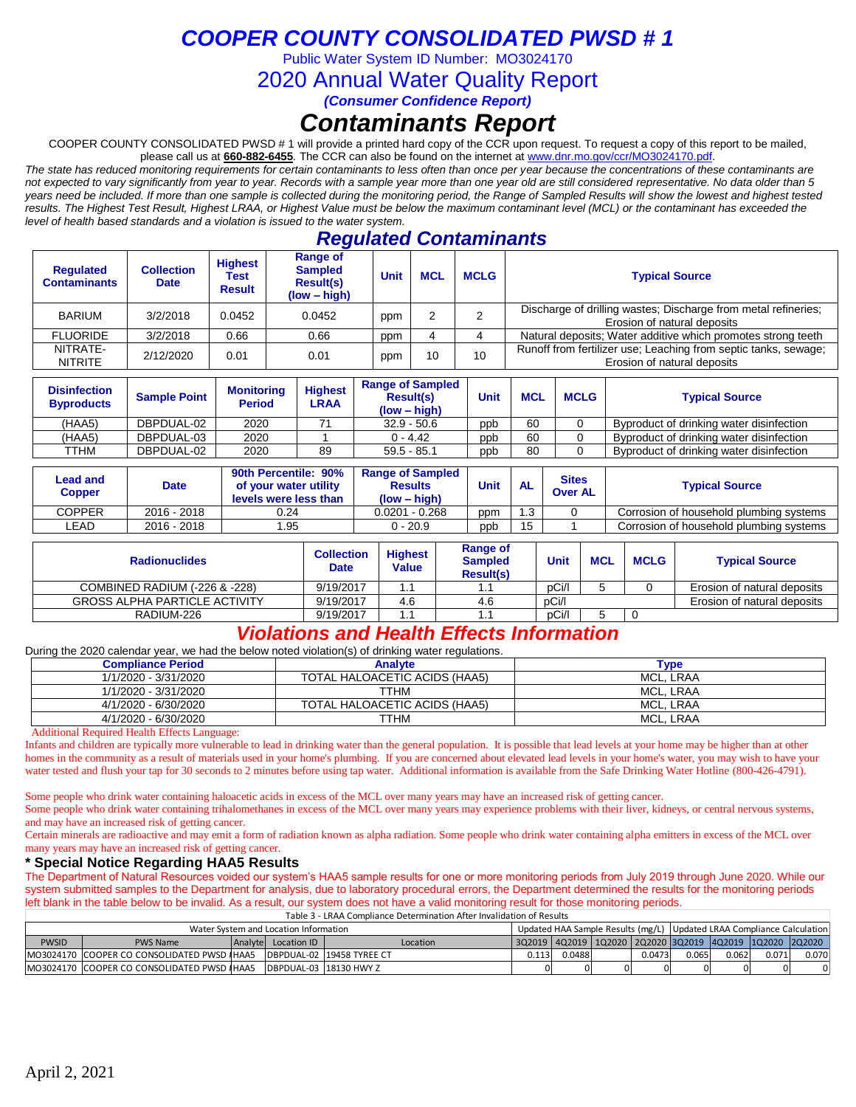Public Water System ID Number: MO3024170

2020 Annual Water Quality Report

*(Consumer Confidence Report)*

# *Contaminants Report*

COOPER COUNTY CONSOLIDATED PWSD # 1 will provide a printed hard copy of the CCR upon request. To request a copy of this report to be mailed, please call us at **660-882-6455***.* The CCR can also be found on the internet at www.dnr.mo.gov/ccr/MO3024170.pdf.

*The state has reduced monitoring requirements for certain contaminants to less often than once per year because the concentrations of these contaminants are not expected to vary significantly from year to year. Records with a sample year more than one year old are still considered representative. No data older than 5*  years need be included. If more than one sample is collected during the monitoring period, the Range of Sampled Results will show the lowest and highest tested *results. The Highest Test Result, Highest LRAA, or Highest Value must be below the maximum contaminant level (MCL) or the contaminant has exceeded the level of health based standards and a violation is issued to the water system.* 

## *Regulated Contaminants*

| <b>Regulated</b><br><b>Contaminants</b> | <b>Collection</b><br><b>Date</b> | <b>Highest</b><br>Test<br><b>Result</b> | Range of<br><b>Sampled</b><br><b>Result(s)</b><br>$(low - high)$ | Unit | <b>MCL</b> | <b>Typical Source</b> |                                                                                                |
|-----------------------------------------|----------------------------------|-----------------------------------------|------------------------------------------------------------------|------|------------|-----------------------|------------------------------------------------------------------------------------------------|
| <b>BARIUM</b>                           | 3/2/2018                         | 0.0452                                  | 0.0452                                                           | ppm  | 2          | ◠                     | Discharge of drilling wastes; Discharge from metal refineries;<br>Erosion of natural deposits  |
| <b>FLUORIDE</b>                         | 3/2/2018                         | 0.66                                    | 0.66                                                             | ppm  |            |                       | Natural deposits; Water additive which promotes strong teeth                                   |
| NITRATE-<br><b>NITRITE</b>              | 2/12/2020                        | 0.01                                    | 0.01                                                             | ppm  | 10         | 10                    | Runoff from fertilizer use; Leaching from septic tanks, sewage;<br>Erosion of natural deposits |

| <b>Disinfection</b><br><b>Byproducts</b> | <b>Sample Point</b> | Monitorina<br><b>Period</b> | <b>Highest</b><br>LRAA | <b>Range of Sampled</b><br><b>Result(s)</b><br>$(low - high)$ | Unit | <b>MCL</b> | <b>MCLG</b> | <b>Typical Source</b>                    |
|------------------------------------------|---------------------|-----------------------------|------------------------|---------------------------------------------------------------|------|------------|-------------|------------------------------------------|
| (HAA5)                                   | DBPDUAL-02          | 2020                        |                        | $32.9 - 50.6$                                                 | ppb  | 60         |             | Byproduct of drinking water disinfection |
| (HAA5)                                   | DBPDUAL-03          | 2020                        |                        | $0 - 4.42$                                                    | ppb  | 60         |             | Byproduct of drinking water disinfection |
| TTHM                                     | DBPDUAL-02          | 2020                        | 89                     | $59.5 - 85.1$                                                 | ppb  | 80         |             | Byproduct of drinking water disinfection |

| Lead and<br>Copper | <b>Date</b> | 90th Percentile: 90%<br>of your water utility<br>levels were less than | <b>Range of Sampled</b><br><b>Results</b><br>$(low - high)$ | Unit | <b>AL</b> | <b>Sites</b><br><b>Over AL</b> | <b>Typical Source</b>                   |
|--------------------|-------------|------------------------------------------------------------------------|-------------------------------------------------------------|------|-----------|--------------------------------|-----------------------------------------|
| COPPER             | 2016 - 2018 | 0.24                                                                   | $0.0201 - 0.268$                                            | ppm  | 1.3       |                                | Corrosion of household plumbing systems |
| ∟EAD               | 2016 - 2018 | .95                                                                    | 0 - 20.9                                                    | ppb  | 15        |                                | Corrosion of household plumbina systems |

| <b>Radionuclides</b>                 | Collection<br><b>Date</b> | <b>Highest</b><br>Value | Range of<br><b>Sampled</b><br><b>Result(s)</b> | Unit  | <b>MCL</b> | <b>MCLG</b> | <b>Typical Source</b>       |
|--------------------------------------|---------------------------|-------------------------|------------------------------------------------|-------|------------|-------------|-----------------------------|
| COMBINED RADIUM (-226 & -228)        | 9/19/2017                 |                         |                                                | pCi/l |            |             | Erosion of natural deposits |
| <b>GROSS ALPHA PARTICLE ACTIVITY</b> | 9/19/2017                 | 4.6                     | 4.6                                            | pCi/l |            |             | Erosion of natural deposits |
| RADIUM-226                           | 9/19/2017                 |                         |                                                | pCi/l |            |             |                             |

## *Violations and Health Effects Information*

During the 2020 calendar year, we had the below noted violation(s) of drinking water regulations.

| <b>Compliance Period</b> | <b>Analyte</b>                | <b>Type</b>      |
|--------------------------|-------------------------------|------------------|
| 1/1/2020 - 3/31/2020     | TOTAL HALOACETIC ACIDS (HAA5) | MCL. LRAA        |
| 1/1/2020 - 3/31/2020     | TTHM                          | MCL. LRAA        |
| 4/1/2020 - 6/30/2020     | TOTAL HALOACETIC ACIDS (HAA5) | MCL. LRAA        |
| 4/1/2020 - 6/30/2020     | TTHM                          | <b>MCL. LRAA</b> |

Additional Required Health Effects Language:

Infants and children are typically more vulnerable to lead in drinking water than the general population. It is possible that lead levels at your home may be higher than at other homes in the community as a result of materials used in your home's plumbing. If you are concerned about elevated lead levels in your home's water, you may wish to have your water tested and flush your tap for 30 seconds to 2 minutes before using tap water. Additional information is available from the Safe Drinking Water Hotline (800-426-4791).

Some people who drink water containing haloacetic acids in excess of the MCL over many years may have an increased risk of getting cancer.

Some people who drink water containing trihalomethanes in excess of the MCL over many years may experience problems with their liver, kidneys, or central nervous systems, and may have an increased risk of getting cancer.

Certain minerals are radioactive and may emit a form of radiation known as alpha radiation. Some people who drink water containing alpha emitters in excess of the MCL over many years may have an increased risk of getting cancer.

### **\* Special Notice Regarding HAA5 Results**

The Department of Natural Resources voided our system's HAA5 sample results for one or more monitoring periods from July 2019 through June 2020. While our system submitted samples to the Department for analysis, due to laboratory procedural errors, the Department determined the results for the monitoring periods left blank in the table below to be invalid. As a result, our system does not have a valid monitoring result for those monitoring periods.

|                                       | Table 3 - LRAA Compliance Determination After Invalidation of Results |  |                     |                           |          |       |        |  |                                                                       |       |       |       |                                                                      |
|---------------------------------------|-----------------------------------------------------------------------|--|---------------------|---------------------------|----------|-------|--------|--|-----------------------------------------------------------------------|-------|-------|-------|----------------------------------------------------------------------|
| Water System and Location Information |                                                                       |  |                     |                           |          |       |        |  | Updated HAA Sample Results (mg/L) Updated LRAA Compliance Calculation |       |       |       |                                                                      |
| <b>PWSID</b>                          | <b>PWS Name</b>                                                       |  | Analyte Location ID |                           | Location |       |        |  |                                                                       |       |       |       | 3Q2019   4Q2019   1Q2020   2Q2020  3Q2019   4Q2019   1Q2020   2Q2020 |
|                                       | MO3024170 COOPER CO CONSOLIDATED PWSD #HAA5                           |  |                     | DBPDUAL-02 19458 TYREE CT |          | 0.113 | 0.0488 |  | 0.0473                                                                | 0.065 | 0.062 | 0.071 | 0.070                                                                |
|                                       | MO3024170 COOPER CO CONSOLIDATED PWSD #HAA5                           |  |                     | IDBPDUAL-03 18130 HWY Z   |          |       |        |  | ΟI                                                                    |       |       |       | 01                                                                   |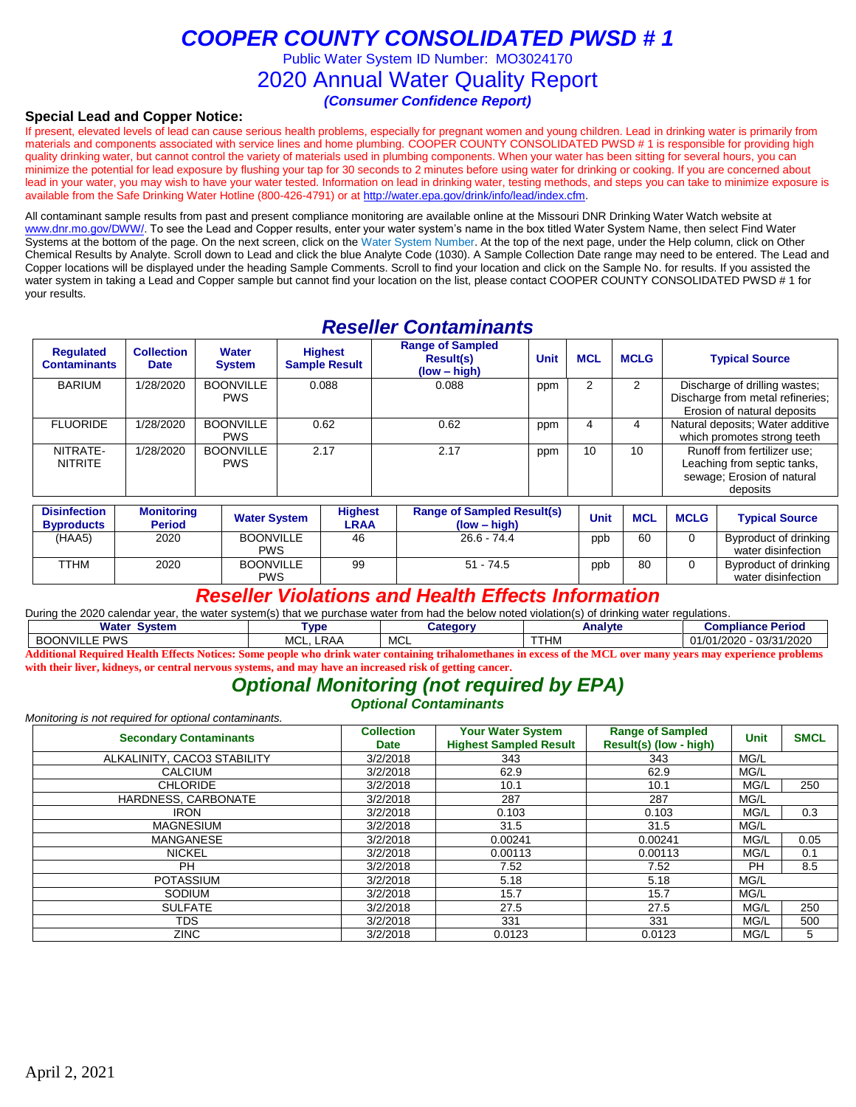Public Water System ID Number: MO3024170

### 2020 Annual Water Quality Report

*(Consumer Confidence Report)*

### **Special Lead and Copper Notice:**

If present, elevated levels of lead can cause serious health problems, especially for pregnant women and young children. Lead in drinking water is primarily from materials and components associated with service lines and home plumbing. COOPER COUNTY CONSOLIDATED PWSD # 1 is responsible for providing high quality drinking water, but cannot control the variety of materials used in plumbing components. When your water has been sitting for several hours, you can minimize the potential for lead exposure by flushing your tap for 30 seconds to 2 minutes before using water for drinking or cooking. If you are concerned about lead in your water, you may wish to have your water tested. Information on lead in drinking water, testing methods, and steps you can take to minimize exposure is available from the Safe Drinking Water Hotline (800-426-4791) or at [http://water.epa.gov/drink/info/lead/index.cfm.](http://water.epa.gov/drink/info/lead/index.cfm)

All contaminant sample results from past and present compliance monitoring are available online at the Missouri DNR Drinking Water Watch website at [www.dnr.mo.gov/DWW/.](http://www.dnr.mo.gov/DWW/) To see the Lead and Copper results, enter your water system's name in the box titled Water System Name, then select Find Water Systems at the bottom of the page. On the next screen, click on the Water System Number. At the top of the next page, under the Help column, click on Other Chemical Results by Analyte. Scroll down to Lead and click the blue Analyte Code (1030). A Sample Collection Date range may need to be entered. The Lead and Copper locations will be displayed under the heading Sample Comments. Scroll to find your location and click on the Sample No. for results. If you assisted the water system in taking a Lead and Copper sample but cannot find your location on the list, please contact COOPER COUNTY CONSOLIDATED PWSD # 1 for your results.

## *Reseller Contaminants*

| <b>Requlated</b><br><b>Contaminants</b> | <b>Collection</b><br><b>Date</b> | Water<br><b>System</b>         | <b>Highest</b><br><b>Sample Result</b> | <b>Range of Sampled</b><br><b>Result(s)</b><br>$(low - high)$ | <b>Unit</b> | <b>MCL</b> | <b>MCLG</b>   | <b>Typical Source</b>                                                                                |
|-----------------------------------------|----------------------------------|--------------------------------|----------------------------------------|---------------------------------------------------------------|-------------|------------|---------------|------------------------------------------------------------------------------------------------------|
| <b>BARIUM</b>                           | 1/28/2020                        | <b>BOONVILLE</b><br><b>PWS</b> | 0.088                                  | 0.088                                                         | ppm         |            | $\mathcal{P}$ | Discharge of drilling wastes;<br>Discharge from metal refineries;<br>Erosion of natural deposits     |
| <b>FLUORIDE</b>                         | 1/28/2020                        | <b>BOONVILLE</b><br><b>PWS</b> | 0.62                                   | 0.62                                                          | ppm         | 4          |               | Natural deposits; Water additive<br>which promotes strong teeth                                      |
| NITRATE-<br><b>NITRITE</b>              | 1/28/2020                        | <b>BOONVILLE</b><br><b>PWS</b> | 2.17                                   | 2.17                                                          | ppm         | 10         | 10            | Runoff from fertilizer use:<br>Leaching from septic tanks,<br>sewage; Erosion of natural<br>deposits |

| <b>Disinfection</b><br><b>Byproducts</b> | <b>Monitoring</b><br><b>Period</b> | <b>Water System</b>            | <b>Highest</b><br>LRAA | <b>Range of Sampled Result(s)</b><br>$(low - high)$ | <b>Unit</b> | <b>MCL</b> | <b>MCLG</b> | <b>Typical Source</b>                       |
|------------------------------------------|------------------------------------|--------------------------------|------------------------|-----------------------------------------------------|-------------|------------|-------------|---------------------------------------------|
| (HAA5)                                   | 2020                               | <b>BOONVILLE</b><br><b>PWS</b> | 46                     | $26.6 - 74.4$                                       | ppb         | 60         |             | Byproduct of drinking<br>water disinfection |
| <b>TTHM</b>                              | 2020                               | <b>BOONVILLE</b><br><b>PWS</b> | 99                     | $51 - 74.5$                                         | ppb         | 80         |             | Byproduct of drinking<br>water disinfection |

### *Reseller Violations and Health Effects Information*

During the 2020 calendar year, the water system(s) that we purchase water from had the below noted violation(s) of drinking water regulations.

| <b>Water System</b>                                                                                                                                             | <b>Tvpe</b>      | ا ategory | Analvte | <b>Compliance Period</b> |  |  |  |  |  |
|-----------------------------------------------------------------------------------------------------------------------------------------------------------------|------------------|-----------|---------|--------------------------|--|--|--|--|--|
| BOONVILLE PWS                                                                                                                                                   | <b>MCL. LRAA</b> | MCL       | TTHM    | 01/01/2020 - 03/31/2020  |  |  |  |  |  |
| Additional Required Health Effects Notices: Some people who drink water containing trihalomethanes in excess of the MCL over many years may experience problems |                  |           |         |                          |  |  |  |  |  |

## **with their liver, kidneys, or central nervous systems, and may have an increased risk of getting cancer.**

### *Optional Monitoring (not required by EPA) Optional Contaminants*

*Monitoring is not required for optional contaminants.*

| <b>Secondary Contaminants</b> | <b>Collection</b><br><b>Date</b> | <b>Your Water System</b><br><b>Highest Sampled Result</b> | <b>Range of Sampled</b><br>Result(s) (low - high) | <b>Unit</b> | <b>SMCL</b> |
|-------------------------------|----------------------------------|-----------------------------------------------------------|---------------------------------------------------|-------------|-------------|
| ALKALINITY, CACO3 STABILITY   | 3/2/2018                         | 343                                                       | 343                                               | MG/L        |             |
| <b>CALCIUM</b>                | 3/2/2018                         | 62.9                                                      | 62.9                                              | MG/L        |             |
| <b>CHLORIDE</b>               | 3/2/2018                         | 10.1                                                      | 10.1                                              | MG/L        | 250         |
| HARDNESS, CARBONATE           | 3/2/2018                         | 287                                                       | 287                                               | MG/L        |             |
| <b>IRON</b>                   | 3/2/2018                         | 0.103                                                     | 0.103                                             | MG/L        | 0.3         |
| <b>MAGNESIUM</b>              | 3/2/2018                         | 31.5                                                      | 31.5                                              | MG/L        |             |
| <b>MANGANESE</b>              | 3/2/2018                         | 0.00241                                                   | 0.00241                                           | MG/L        | 0.05        |
| <b>NICKEL</b>                 | 3/2/2018                         | 0.00113                                                   | 0.00113                                           | MG/L        | 0.1         |
| PH                            | 3/2/2018                         | 7.52                                                      | 7.52                                              | PH          | 8.5         |
| <b>POTASSIUM</b>              | 3/2/2018                         | 5.18                                                      | 5.18                                              | MG/L        |             |
| <b>SODIUM</b>                 | 3/2/2018                         | 15.7                                                      | 15.7                                              | MG/L        |             |
| <b>SULFATE</b>                | 3/2/2018                         | 27.5                                                      | 27.5                                              | MG/L        | 250         |
| TDS                           | 3/2/2018                         | 331                                                       | 331                                               | MG/L        | 500         |
| <b>ZINC</b>                   | 3/2/2018                         | 0.0123                                                    | 0.0123                                            | MG/L        | 5           |